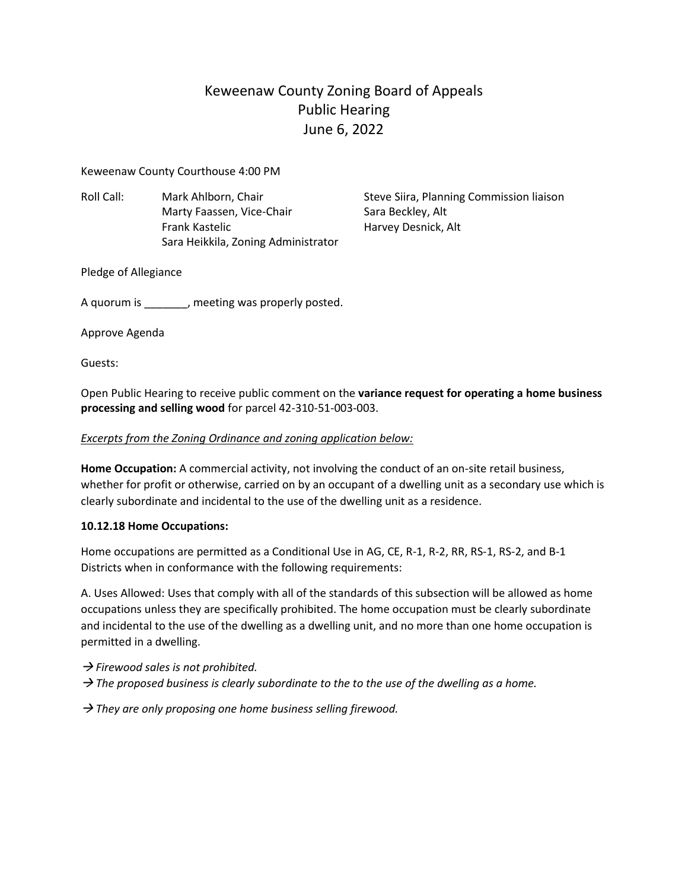# Keweenaw County Zoning Board of Appeals Public Hearing June 6, 2022

Keweenaw County Courthouse 4:00 PM

Roll Call: Mark Ahlborn, Chair Steve Siira, Planning Commission liaison Marty Faassen, Vice-Chair Sara Beckley, Alt Frank Kastelic **Harvey Desnick, Alt** Sara Heikkila, Zoning Administrator

Pledge of Allegiance

A quorum is \_\_\_\_\_\_\_, meeting was properly posted.

Approve Agenda

Guests:

Open Public Hearing to receive public comment on the **variance request for operating a home business processing and selling wood** for parcel 42-310-51-003-003.

# *Excerpts from the Zoning Ordinance and zoning application below:*

**Home Occupation:** A commercial activity, not involving the conduct of an on-site retail business, whether for profit or otherwise, carried on by an occupant of a dwelling unit as a secondary use which is clearly subordinate and incidental to the use of the dwelling unit as a residence.

# **10.12.18 Home Occupations:**

Home occupations are permitted as a Conditional Use in AG, CE, R-1, R-2, RR, RS-1, RS-2, and B-1 Districts when in conformance with the following requirements:

A. Uses Allowed: Uses that comply with all of the standards of this subsection will be allowed as home occupations unless they are specifically prohibited. The home occupation must be clearly subordinate and incidental to the use of the dwelling as a dwelling unit, and no more than one home occupation is permitted in a dwelling.

→ *Firewood sales is not prohibited.*

 $\rightarrow$  *The proposed business is clearly subordinate to the to the use of the dwelling as a home.* 

→ *They are only proposing one home business selling firewood.*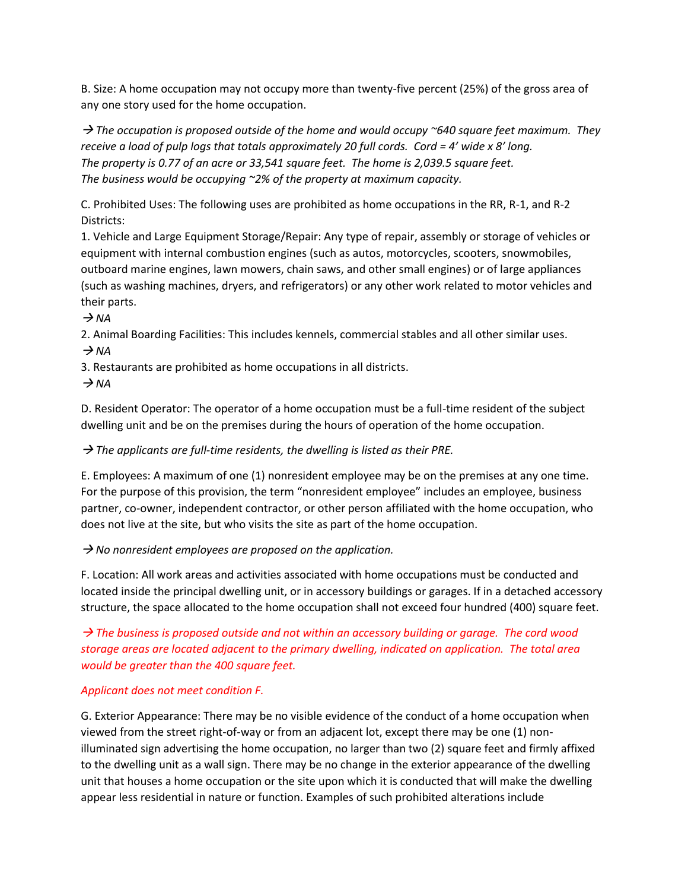B. Size: A home occupation may not occupy more than twenty-five percent (25%) of the gross area of any one story used for the home occupation.

→ *The occupation is proposed outside of the home and would occupy ~640 square feet maximum. They receive a load of pulp logs that totals approximately 20 full cords. Cord = 4' wide x 8' long. The property is 0.77 of an acre or 33,541 square feet. The home is 2,039.5 square feet. The business would be occupying ~2% of the property at maximum capacity.*

C. Prohibited Uses: The following uses are prohibited as home occupations in the RR, R-1, and R-2 Districts:

1. Vehicle and Large Equipment Storage/Repair: Any type of repair, assembly or storage of vehicles or equipment with internal combustion engines (such as autos, motorcycles, scooters, snowmobiles, outboard marine engines, lawn mowers, chain saws, and other small engines) or of large appliances (such as washing machines, dryers, and refrigerators) or any other work related to motor vehicles and their parts.

 $\rightarrow$  *NA* 

2. Animal Boarding Facilities: This includes kennels, commercial stables and all other similar uses.  $\rightarrow$  *NA* 

3. Restaurants are prohibited as home occupations in all districts.

 $\rightarrow$  *NA* 

D. Resident Operator: The operator of a home occupation must be a full-time resident of the subject dwelling unit and be on the premises during the hours of operation of the home occupation.

# → *The applicants are full-time residents, the dwelling is listed as their PRE.*

E. Employees: A maximum of one (1) nonresident employee may be on the premises at any one time. For the purpose of this provision, the term "nonresident employee" includes an employee, business partner, co-owner, independent contractor, or other person affiliated with the home occupation, who does not live at the site, but who visits the site as part of the home occupation.

→ *No nonresident employees are proposed on the application.*

F. Location: All work areas and activities associated with home occupations must be conducted and located inside the principal dwelling unit, or in accessory buildings or garages. If in a detached accessory structure, the space allocated to the home occupation shall not exceed four hundred (400) square feet.

→ *The business is proposed outside and not within an accessory building or garage. The cord wood storage areas are located adjacent to the primary dwelling, indicated on application. The total area would be greater than the 400 square feet.* 

# *Applicant does not meet condition F.*

G. Exterior Appearance: There may be no visible evidence of the conduct of a home occupation when viewed from the street right-of-way or from an adjacent lot, except there may be one (1) nonilluminated sign advertising the home occupation, no larger than two (2) square feet and firmly affixed to the dwelling unit as a wall sign. There may be no change in the exterior appearance of the dwelling unit that houses a home occupation or the site upon which it is conducted that will make the dwelling appear less residential in nature or function. Examples of such prohibited alterations include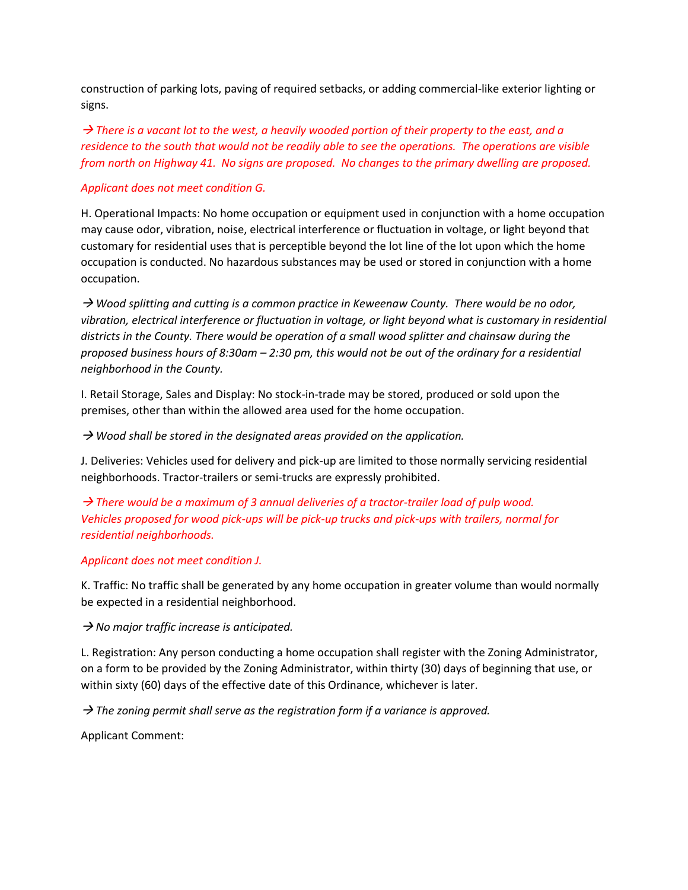construction of parking lots, paving of required setbacks, or adding commercial-like exterior lighting or signs.

 $\rightarrow$  *There is a vacant lot to the west, a heavily wooded portion of their property to the east, and a residence to the south that would not be readily able to see the operations. The operations are visible from north on Highway 41. No signs are proposed. No changes to the primary dwelling are proposed.*

#### *Applicant does not meet condition G.*

H. Operational Impacts: No home occupation or equipment used in conjunction with a home occupation may cause odor, vibration, noise, electrical interference or fluctuation in voltage, or light beyond that customary for residential uses that is perceptible beyond the lot line of the lot upon which the home occupation is conducted. No hazardous substances may be used or stored in conjunction with a home occupation.

→ *Wood splitting and cutting is a common practice in Keweenaw County. There would be no odor, vibration, electrical interference or fluctuation in voltage, or light beyond what is customary in residential districts in the County. There would be operation of a small wood splitter and chainsaw during the proposed business hours of 8:30am – 2:30 pm, this would not be out of the ordinary for a residential neighborhood in the County.*

I. Retail Storage, Sales and Display: No stock-in-trade may be stored, produced or sold upon the premises, other than within the allowed area used for the home occupation.

→ *Wood shall be stored in the designated areas provided on the application.*

J. Deliveries: Vehicles used for delivery and pick-up are limited to those normally servicing residential neighborhoods. Tractor-trailers or semi-trucks are expressly prohibited.

→ *There would be a maximum of 3 annual deliveries of a tractor-trailer load of pulp wood. Vehicles proposed for wood pick-ups will be pick-up trucks and pick-ups with trailers, normal for residential neighborhoods.*

#### *Applicant does not meet condition J.*

K. Traffic: No traffic shall be generated by any home occupation in greater volume than would normally be expected in a residential neighborhood.

→ *No major traffic increase is anticipated.*

L. Registration: Any person conducting a home occupation shall register with the Zoning Administrator, on a form to be provided by the Zoning Administrator, within thirty (30) days of beginning that use, or within sixty (60) days of the effective date of this Ordinance, whichever is later.

→ *The zoning permit shall serve as the registration form if a variance is approved.*

Applicant Comment: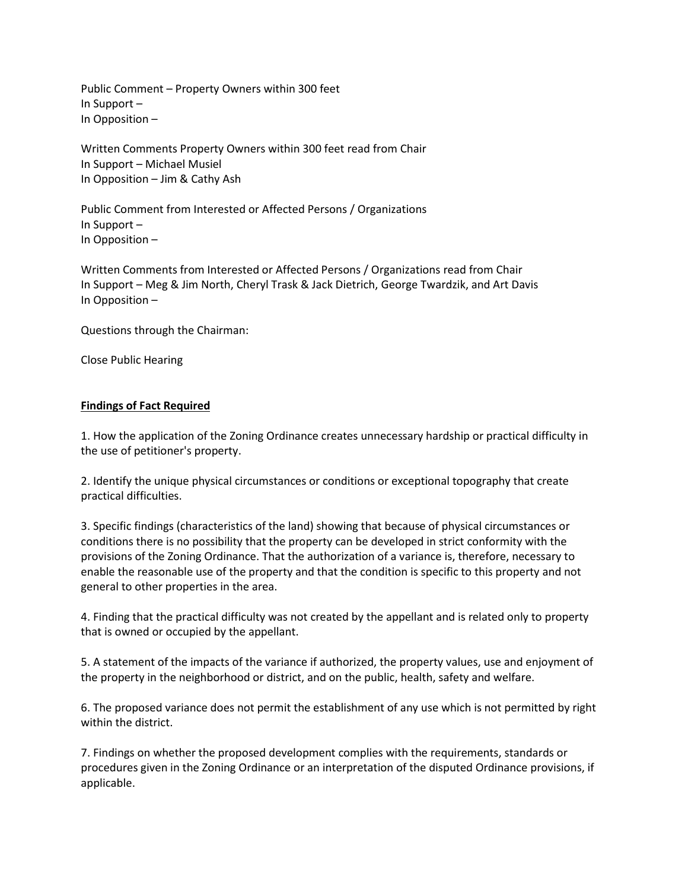Public Comment – Property Owners within 300 feet In Support – In Opposition –

Written Comments Property Owners within 300 feet read from Chair In Support – Michael Musiel In Opposition – Jim & Cathy Ash

Public Comment from Interested or Affected Persons / Organizations In Support – In Opposition –

Written Comments from Interested or Affected Persons / Organizations read from Chair In Support – Meg & Jim North, Cheryl Trask & Jack Dietrich, George Twardzik, and Art Davis In Opposition –

Questions through the Chairman:

Close Public Hearing

## **Findings of Fact Required**

1. How the application of the Zoning Ordinance creates unnecessary hardship or practical difficulty in the use of petitioner's property.

2. Identify the unique physical circumstances or conditions or exceptional topography that create practical difficulties.

3. Specific findings (characteristics of the land) showing that because of physical circumstances or conditions there is no possibility that the property can be developed in strict conformity with the provisions of the Zoning Ordinance. That the authorization of a variance is, therefore, necessary to enable the reasonable use of the property and that the condition is specific to this property and not general to other properties in the area.

4. Finding that the practical difficulty was not created by the appellant and is related only to property that is owned or occupied by the appellant.

5. A statement of the impacts of the variance if authorized, the property values, use and enjoyment of the property in the neighborhood or district, and on the public, health, safety and welfare.

6. The proposed variance does not permit the establishment of any use which is not permitted by right within the district.

7. Findings on whether the proposed development complies with the requirements, standards or procedures given in the Zoning Ordinance or an interpretation of the disputed Ordinance provisions, if applicable.